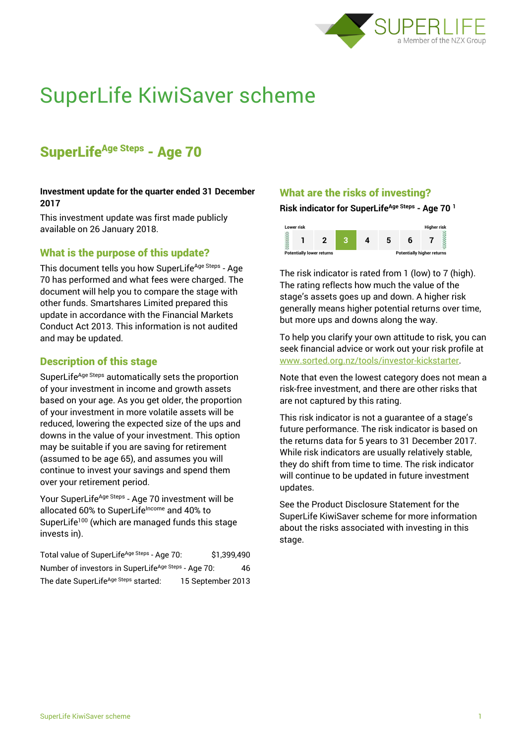

# SuperLife KiwiSaver scheme

# SuperLife<sup>Age Steps</sup> - Age 70

#### **Investment update for the quarter ended 31 December 2017**

This investment update was first made publicly available on 26 January 2018.

# What is the purpose of this update?

This document tells you how SuperLife<sup>Age Steps</sup> - Age 70 has performed and what fees were charged. The document will help you to compare the stage with other funds. Smartshares Limited prepared this update in accordance with the Financial Markets Conduct Act 2013. This information is not audited and may be updated.

## Description of this stage

SuperLife<sup>Age Steps</sup> automatically sets the proportion of your investment in income and growth assets based on your age. As you get older, the proportion of your investment in more volatile assets will be reduced, lowering the expected size of the ups and downs in the value of your investment. This option may be suitable if you are saving for retirement (assumed to be age 65), and assumes you will continue to invest your savings and spend them over your retirement period.

Your SuperLife<sup>Age Steps</sup> - Age 70 investment will be allocated 60% to SuperLifeIncome and 40% to SuperLife<sup>100</sup> (which are managed funds this stage invests in).

Total value of SuperLife<sup>Age Steps</sup> - Age 70: \$1,399,490 Number of investors in SuperLife<sup>Age Steps</sup> - Age 70: 46 The date SuperLife<sup>Age Steps</sup> started: 15 September 2013

## What are the risks of investing?

#### **Risk indicator for SuperLifeAge Steps - Age 70 <sup>1</sup>**



The risk indicator is rated from 1 (low) to 7 (high). The rating reflects how much the value of the stage's assets goes up and down. A higher risk generally means higher potential returns over time, but more ups and downs along the way.

To help you clarify your own attitude to risk, you can seek financial advice or work out your risk profile at [www.sorted.org.nz/tools/investor-kickstarter.](http://www.sorted.org.nz/tools/investor-kickstarter)

Note that even the lowest category does not mean a risk-free investment, and there are other risks that are not captured by this rating.

This risk indicator is not a guarantee of a stage's future performance. The risk indicator is based on the returns data for 5 years to 31 December 2017. While risk indicators are usually relatively stable, they do shift from time to time. The risk indicator will continue to be updated in future investment updates.

See the Product Disclosure Statement for the SuperLife KiwiSaver scheme for more information about the risks associated with investing in this stage.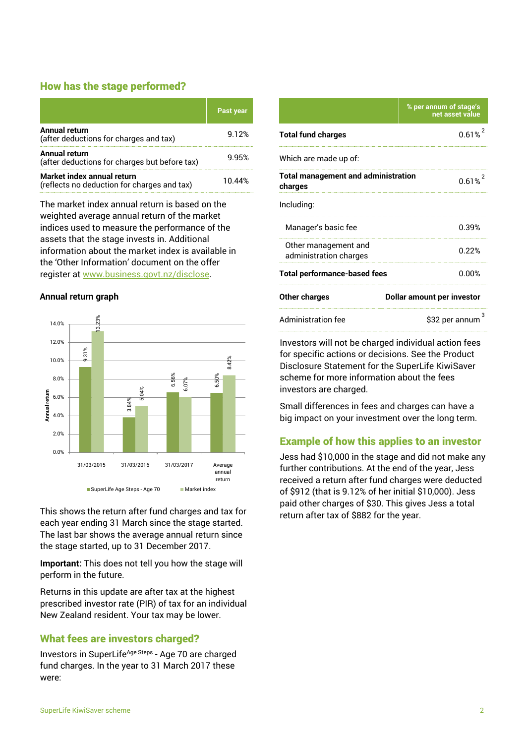## How has the stage performed?

|                                                                           | Past year |
|---------------------------------------------------------------------------|-----------|
| <b>Annual return</b><br>(after deductions for charges and tax)            | 9.12%     |
| Annual return<br>(after deductions for charges but before tax)            | 9.95%     |
| Market index annual return<br>(reflects no deduction for charges and tax) | 1በ 44%    |

The market index annual return is based on the weighted average annual return of the market indices used to measure the performance of the assets that the stage invests in. Additional information about the market index is available in the 'Other Information' document on the offer register at www.business.govt.nz/disclose.

# **Annual return graph**



This shows the return after fund charges and tax for each year ending 31 March since the stage started. The last bar shows the average annual return since the stage started, up to 31 December 2017.

**Important:** This does not tell you how the stage will perform in the future.

Returns in this update are after tax at the highest prescribed investor rate (PIR) of tax for an individual New Zealand resident. Your tax may be lower.

# What fees are investors charged?

Investors in SuperLife<sup>Age Steps</sup> - Age 70 are charged fund charges. In the year to 31 March 2017 these were:

|                                                       | % per annum of stage's<br>net asset value |  |
|-------------------------------------------------------|-------------------------------------------|--|
| <b>Total fund charges</b>                             | 0.61%                                     |  |
| Which are made up of:                                 |                                           |  |
| <b>Total management and administration</b><br>charges | 0.61%                                     |  |
| Including:                                            |                                           |  |
| Manager's basic fee                                   | 0.39%                                     |  |
| Other management and<br>administration charges        | በ 22%                                     |  |
| <b>Total performance-based fees</b>                   | 0.00%                                     |  |
| <b>Other charges</b>                                  | Dollar amount per investor                |  |
| <b>Administration fee</b>                             | \$32 per annum                            |  |

Investors will not be charged individual action fees for specific actions or decisions. See the Product Disclosure Statement for the SuperLife KiwiSaver scheme for more information about the fees investors are charged.

Small differences in fees and charges can have a big impact on your investment over the long term.

# Example of how this applies to an investor

Jess had \$10,000 in the stage and did not make any further contributions. At the end of the year, Jess received a return after fund charges were deducted of \$912 (that is 9.12% of her initial \$10,000). Jess paid other charges of \$30. This gives Jess a total return after tax of \$882 for the year.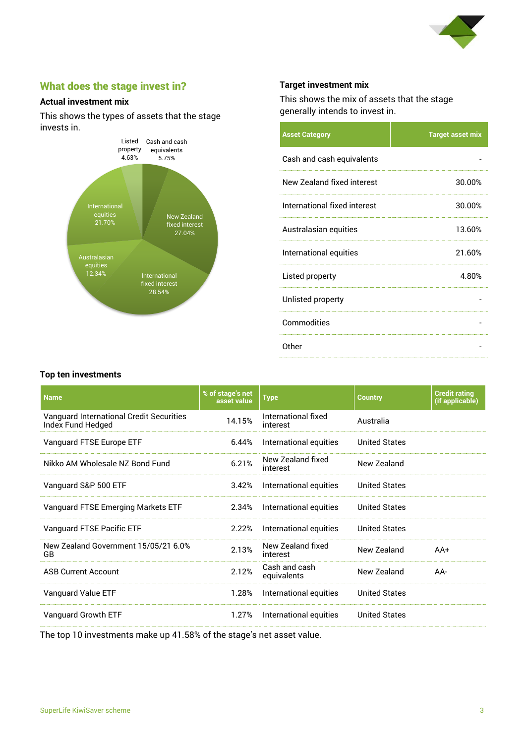

# What does the stage invest in?

#### **Actual investment mix**

This shows the types of assets that the stage invests in.



#### **Target investment mix**

This shows the mix of assets that the stage generally intends to invest in.

| <b>Asset Category</b>        | <b>Target asset mix</b> |
|------------------------------|-------------------------|
| Cash and cash equivalents    |                         |
| New Zealand fixed interest   | 30.00%                  |
| International fixed interest | 30.00%                  |
| Australasian equities        | 13.60%                  |
| International equities       | 21.60%                  |
| Listed property              | 4.80%                   |
| Unlisted property            |                         |
| Commodities                  |                         |
| Other                        |                         |

#### **Top ten investments**

| <b>Name</b>                                                   | % of stage's net<br>asset value | <b>Type</b>                     | <b>Country</b>       | <b>Credit rating</b><br>(if applicable) |
|---------------------------------------------------------------|---------------------------------|---------------------------------|----------------------|-----------------------------------------|
| Vanguard International Credit Securities<br>Index Fund Hedged | 14.15%                          | International fixed<br>interest | Australia            |                                         |
| Vanguard FTSE Europe ETF                                      | 6.44%                           | International equities          | <b>United States</b> |                                         |
| Nikko AM Wholesale NZ Bond Fund                               | 6.21%                           | New Zealand fixed<br>interest   | New Zealand          |                                         |
| Vanguard S&P 500 ETF                                          | 3.42%                           | International equities          | <b>United States</b> |                                         |
| Vanguard FTSE Emerging Markets ETF                            | 2.34%                           | International equities          | <b>United States</b> |                                         |
| Vanguard FTSE Pacific ETF                                     | 2.22%                           | International equities          | <b>United States</b> |                                         |
| New Zealand Government 15/05/21 6.0%<br>GB                    | 2.13%                           | New Zealand fixed<br>interest   | New Zealand          | $AA+$                                   |
| <b>ASB Current Account</b>                                    | 2.12%                           | Cash and cash<br>equivalents    | New Zealand          | AA-                                     |
| Vanguard Value ETF                                            | 1.28%                           | International equities          | <b>United States</b> |                                         |
| Vanguard Growth ETF                                           | 1.27%                           | International equities          | <b>United States</b> |                                         |

The top 10 investments make up 41.58% of the stage's net asset value.